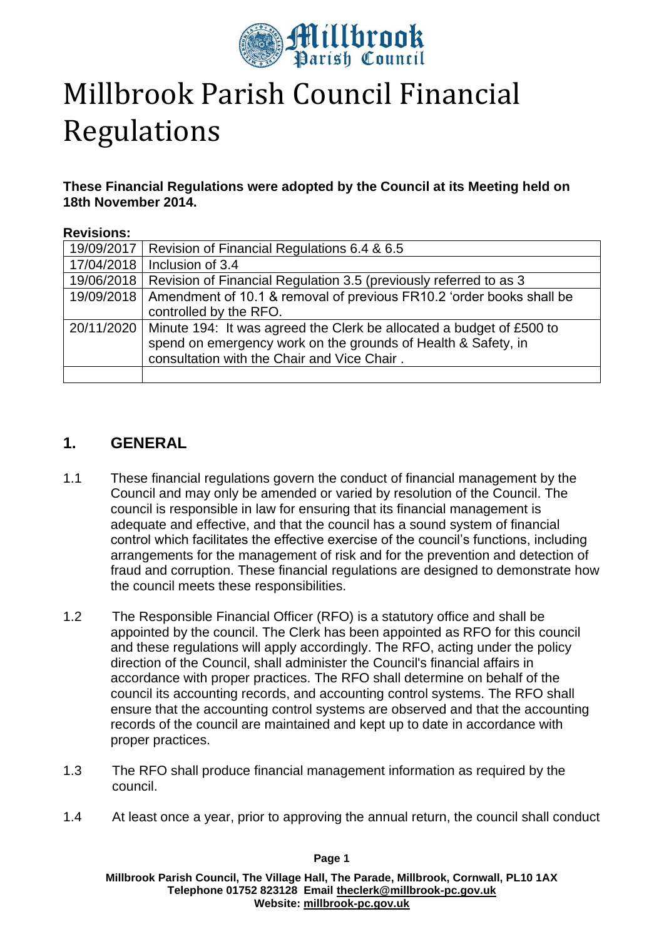

# Millbrook Parish Council Financial Regulations

**These Financial Regulations were adopted by the Council at its Meeting held on 18th November 2014.**

#### **Revisions:**

|            | 19/09/2017   Revision of Financial Regulations 6.4 & 6.5                                                                                           |
|------------|----------------------------------------------------------------------------------------------------------------------------------------------------|
| 17/04/2018 | Inclusion of 3.4                                                                                                                                   |
|            | 19/06/2018   Revision of Financial Regulation 3.5 (previously referred to as 3                                                                     |
|            | 19/09/2018   Amendment of 10.1 & removal of previous FR10.2 'order books shall be                                                                  |
|            | controlled by the RFO.                                                                                                                             |
|            | 20/11/2020   Minute 194: It was agreed the Clerk be allocated a budget of £500 to<br>spend on emergency work on the grounds of Health & Safety, in |
|            | consultation with the Chair and Vice Chair.                                                                                                        |
|            |                                                                                                                                                    |

## **1. GENERAL**

- 1.1 These financial regulations govern the conduct of financial management by the Council and may only be amended or varied by resolution of the Council. The council is responsible in law for ensuring that its financial management is adequate and effective, and that the council has a sound system of financial control which facilitates the effective exercise of the council's functions, including arrangements for the management of risk and for the prevention and detection of fraud and corruption. These financial regulations are designed to demonstrate how the council meets these responsibilities.
- 1.2 The Responsible Financial Officer (RFO) is a statutory office and shall be appointed by the council. The Clerk has been appointed as RFO for this council and these regulations will apply accordingly. The RFO, acting under the policy direction of the Council, shall administer the Council's financial affairs in accordance with proper practices. The RFO shall determine on behalf of the council its accounting records, and accounting control systems. The RFO shall ensure that the accounting control systems are observed and that the accounting records of the council are maintained and kept up to date in accordance with proper practices.
- 1.3 The RFO shall produce financial management information as required by the council.
- 1.4 At least once a year, prior to approving the annual return, the council shall conduct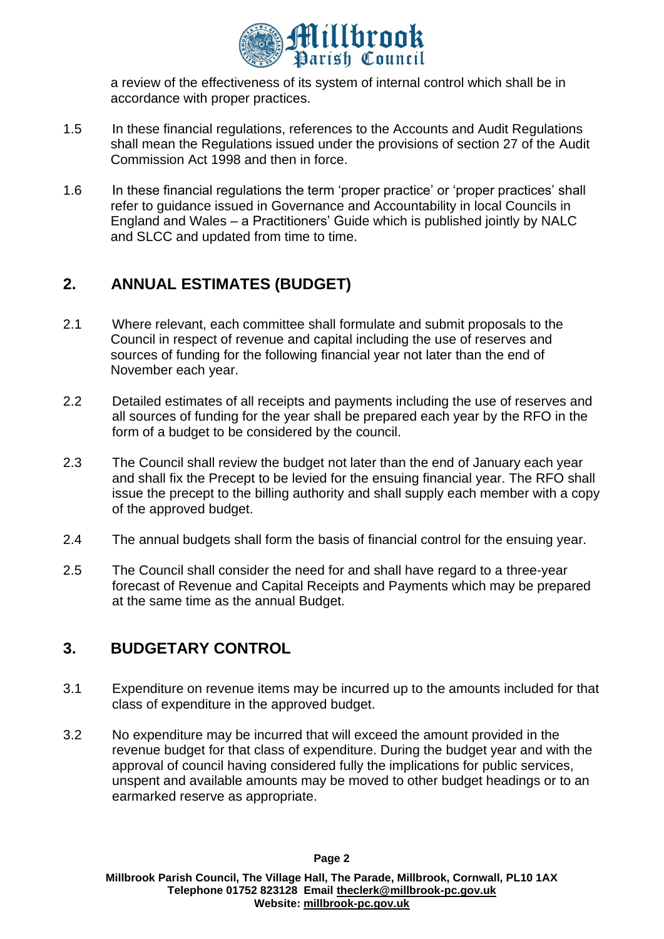

a review of the effectiveness of its system of internal control which shall be in accordance with proper practices.

- 1.5 In these financial regulations, references to the Accounts and Audit Regulations shall mean the Regulations issued under the provisions of section 27 of the Audit Commission Act 1998 and then in force.
- 1.6 In these financial regulations the term 'proper practice' or 'proper practices' shall refer to guidance issued in Governance and Accountability in local Councils in England and Wales – a Practitioners' Guide which is published jointly by NALC and SLCC and updated from time to time.

# **2. ANNUAL ESTIMATES (BUDGET)**

- 2.1 Where relevant, each committee shall formulate and submit proposals to the Council in respect of revenue and capital including the use of reserves and sources of funding for the following financial year not later than the end of November each year.
- 2.2 Detailed estimates of all receipts and payments including the use of reserves and all sources of funding for the year shall be prepared each year by the RFO in the form of a budget to be considered by the council.
- 2.3 The Council shall review the budget not later than the end of January each year and shall fix the Precept to be levied for the ensuing financial year. The RFO shall issue the precept to the billing authority and shall supply each member with a copy of the approved budget.
- 2.4 The annual budgets shall form the basis of financial control for the ensuing year.
- 2.5 The Council shall consider the need for and shall have regard to a three-year forecast of Revenue and Capital Receipts and Payments which may be prepared at the same time as the annual Budget.

# **3. BUDGETARY CONTROL**

- 3.1 Expenditure on revenue items may be incurred up to the amounts included for that class of expenditure in the approved budget.
- 3.2 No expenditure may be incurred that will exceed the amount provided in the revenue budget for that class of expenditure. During the budget year and with the approval of council having considered fully the implications for public services, unspent and available amounts may be moved to other budget headings or to an earmarked reserve as appropriate.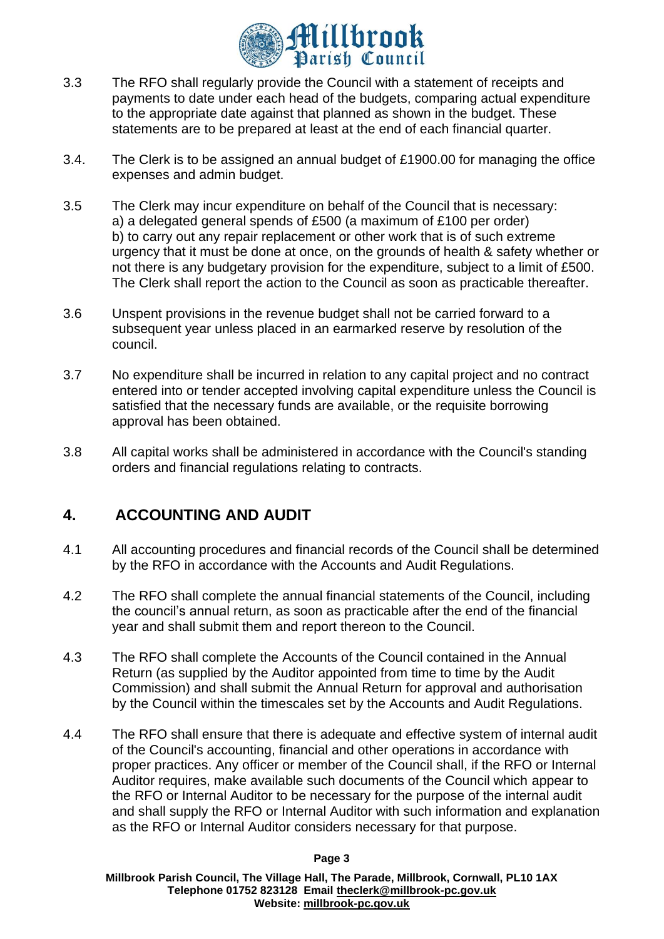

- 3.3 The RFO shall regularly provide the Council with a statement of receipts and payments to date under each head of the budgets, comparing actual expenditure to the appropriate date against that planned as shown in the budget. These statements are to be prepared at least at the end of each financial quarter.
- 3.4. The Clerk is to be assigned an annual budget of £1900.00 for managing the office expenses and admin budget.
- 3.5 The Clerk may incur expenditure on behalf of the Council that is necessary: a) a delegated general spends of £500 (a maximum of £100 per order) b) to carry out any repair replacement or other work that is of such extreme urgency that it must be done at once, on the grounds of health & safety whether or not there is any budgetary provision for the expenditure, subject to a limit of £500. The Clerk shall report the action to the Council as soon as practicable thereafter.
- 3.6 Unspent provisions in the revenue budget shall not be carried forward to a subsequent year unless placed in an earmarked reserve by resolution of the council.
- 3.7 No expenditure shall be incurred in relation to any capital project and no contract entered into or tender accepted involving capital expenditure unless the Council is satisfied that the necessary funds are available, or the requisite borrowing approval has been obtained.
- 3.8 All capital works shall be administered in accordance with the Council's standing orders and financial regulations relating to contracts.

## **4. ACCOUNTING AND AUDIT**

- 4.1 All accounting procedures and financial records of the Council shall be determined by the RFO in accordance with the Accounts and Audit Regulations.
- 4.2 The RFO shall complete the annual financial statements of the Council, including the council's annual return, as soon as practicable after the end of the financial year and shall submit them and report thereon to the Council.
- 4.3 The RFO shall complete the Accounts of the Council contained in the Annual Return (as supplied by the Auditor appointed from time to time by the Audit Commission) and shall submit the Annual Return for approval and authorisation by the Council within the timescales set by the Accounts and Audit Regulations.
- 4.4 The RFO shall ensure that there is adequate and effective system of internal audit of the Council's accounting, financial and other operations in accordance with proper practices. Any officer or member of the Council shall, if the RFO or Internal Auditor requires, make available such documents of the Council which appear to the RFO or Internal Auditor to be necessary for the purpose of the internal audit and shall supply the RFO or Internal Auditor with such information and explanation as the RFO or Internal Auditor considers necessary for that purpose.

#### **Page 3**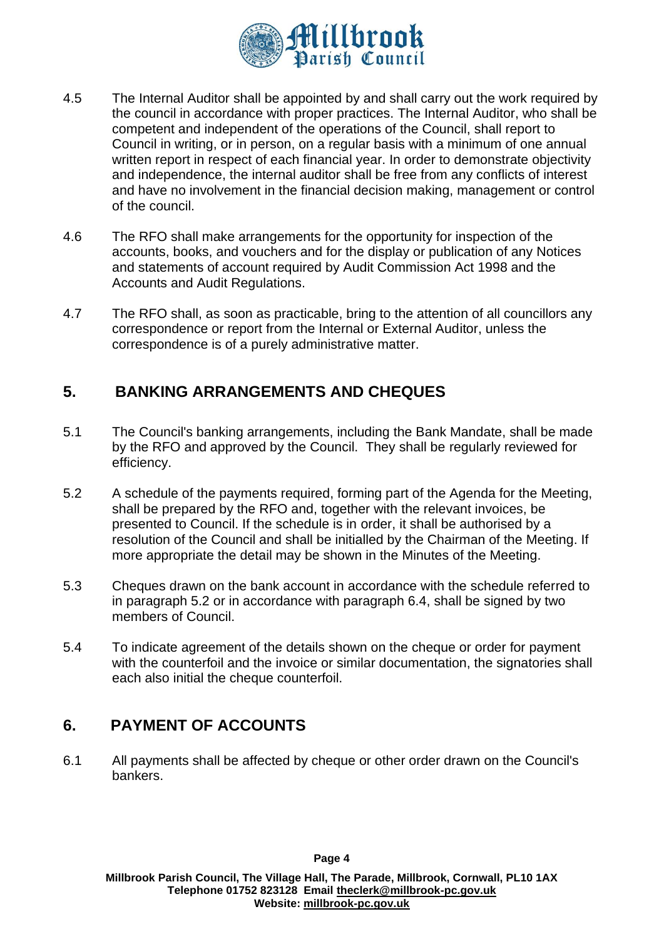

- 4.5 The Internal Auditor shall be appointed by and shall carry out the work required by the council in accordance with proper practices. The Internal Auditor, who shall be competent and independent of the operations of the Council, shall report to Council in writing, or in person, on a regular basis with a minimum of one annual written report in respect of each financial year. In order to demonstrate objectivity and independence, the internal auditor shall be free from any conflicts of interest and have no involvement in the financial decision making, management or control of the council.
- 4.6 The RFO shall make arrangements for the opportunity for inspection of the accounts, books, and vouchers and for the display or publication of any Notices and statements of account required by Audit Commission Act 1998 and the Accounts and Audit Regulations.
- 4.7 The RFO shall, as soon as practicable, bring to the attention of all councillors any correspondence or report from the Internal or External Auditor, unless the correspondence is of a purely administrative matter.

## **5. BANKING ARRANGEMENTS AND CHEQUES**

- 5.1 The Council's banking arrangements, including the Bank Mandate, shall be made by the RFO and approved by the Council. They shall be regularly reviewed for efficiency.
- 5.2 A schedule of the payments required, forming part of the Agenda for the Meeting, shall be prepared by the RFO and, together with the relevant invoices, be presented to Council. If the schedule is in order, it shall be authorised by a resolution of the Council and shall be initialled by the Chairman of the Meeting. If more appropriate the detail may be shown in the Minutes of the Meeting.
- 5.3 Cheques drawn on the bank account in accordance with the schedule referred to in paragraph 5.2 or in accordance with paragraph 6.4, shall be signed by two members of Council.
- 5.4 To indicate agreement of the details shown on the cheque or order for payment with the counterfoil and the invoice or similar documentation, the signatories shall each also initial the cheque counterfoil.

# **6. PAYMENT OF ACCOUNTS**

6.1 All payments shall be affected by cheque or other order drawn on the Council's bankers.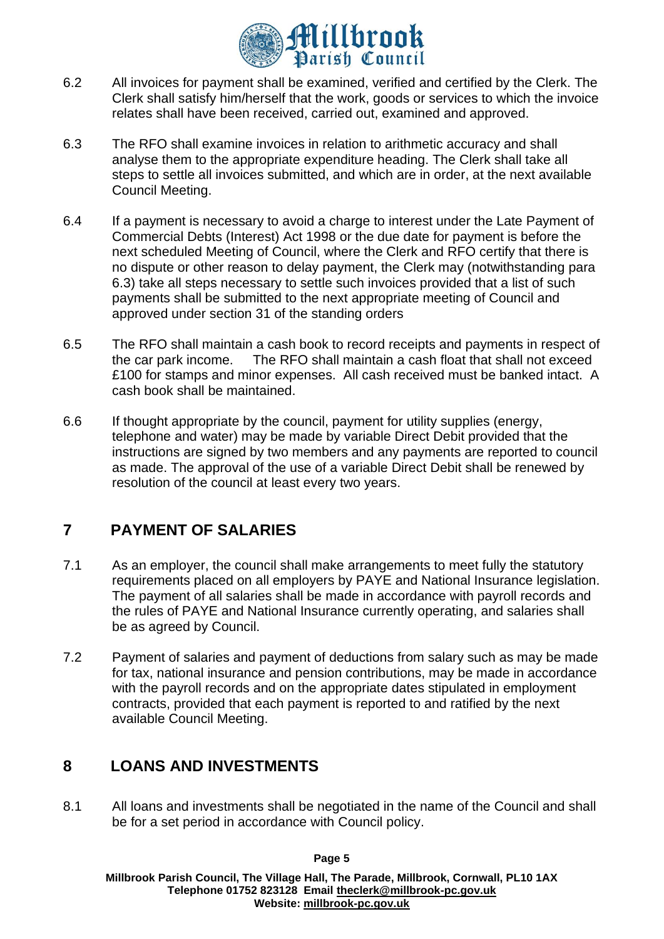

- 6.2 All invoices for payment shall be examined, verified and certified by the Clerk. The Clerk shall satisfy him/herself that the work, goods or services to which the invoice relates shall have been received, carried out, examined and approved.
- 6.3 The RFO shall examine invoices in relation to arithmetic accuracy and shall analyse them to the appropriate expenditure heading. The Clerk shall take all steps to settle all invoices submitted, and which are in order, at the next available Council Meeting.
- 6.4 If a payment is necessary to avoid a charge to interest under the Late Payment of Commercial Debts (Interest) Act 1998 or the due date for payment is before the next scheduled Meeting of Council, where the Clerk and RFO certify that there is no dispute or other reason to delay payment, the Clerk may (notwithstanding para 6.3) take all steps necessary to settle such invoices provided that a list of such payments shall be submitted to the next appropriate meeting of Council and approved under section 31 of the standing orders
- 6.5 The RFO shall maintain a cash book to record receipts and payments in respect of the car park income. The RFO shall maintain a cash float that shall not exceed £100 for stamps and minor expenses. All cash received must be banked intact. A cash book shall be maintained.
- 6.6 If thought appropriate by the council, payment for utility supplies (energy, telephone and water) may be made by variable Direct Debit provided that the instructions are signed by two members and any payments are reported to council as made. The approval of the use of a variable Direct Debit shall be renewed by resolution of the council at least every two years.

# **7 PAYMENT OF SALARIES**

- 7.1 As an employer, the council shall make arrangements to meet fully the statutory requirements placed on all employers by PAYE and National Insurance legislation. The payment of all salaries shall be made in accordance with payroll records and the rules of PAYE and National Insurance currently operating, and salaries shall be as agreed by Council.
- 7.2 Payment of salaries and payment of deductions from salary such as may be made for tax, national insurance and pension contributions, may be made in accordance with the payroll records and on the appropriate dates stipulated in employment contracts, provided that each payment is reported to and ratified by the next available Council Meeting.

## **8 LOANS AND INVESTMENTS**

8.1 All loans and investments shall be negotiated in the name of the Council and shall be for a set period in accordance with Council policy.

**Page 5**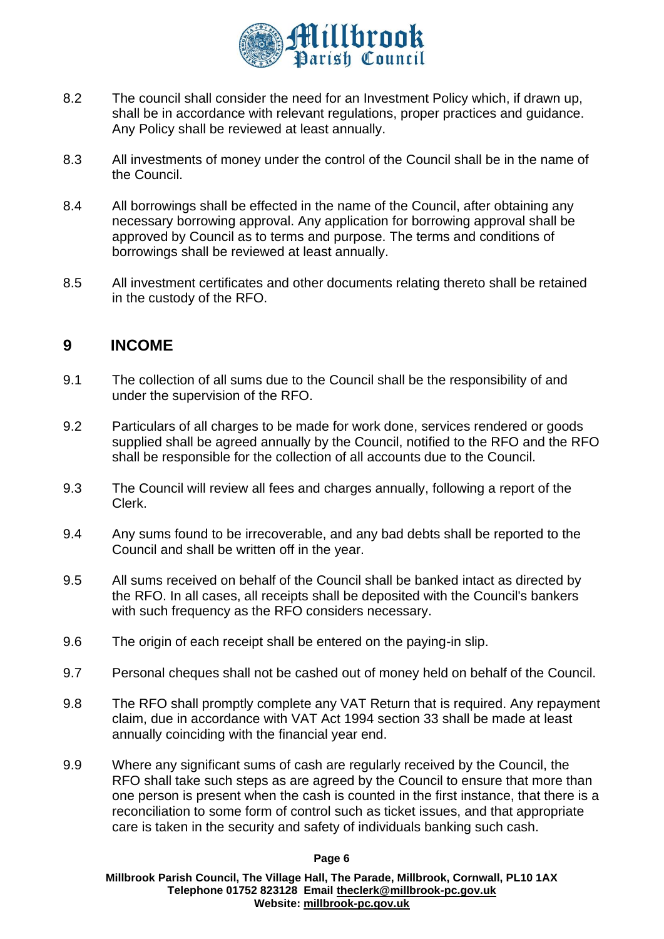

- 8.2 The council shall consider the need for an Investment Policy which, if drawn up, shall be in accordance with relevant regulations, proper practices and guidance. Any Policy shall be reviewed at least annually.
- 8.3 All investments of money under the control of the Council shall be in the name of the Council.
- 8.4 All borrowings shall be effected in the name of the Council, after obtaining any necessary borrowing approval. Any application for borrowing approval shall be approved by Council as to terms and purpose. The terms and conditions of borrowings shall be reviewed at least annually.
- 8.5 All investment certificates and other documents relating thereto shall be retained in the custody of the RFO.

## **9 INCOME**

- 9.1 The collection of all sums due to the Council shall be the responsibility of and under the supervision of the RFO.
- 9.2 Particulars of all charges to be made for work done, services rendered or goods supplied shall be agreed annually by the Council, notified to the RFO and the RFO shall be responsible for the collection of all accounts due to the Council.
- 9.3 The Council will review all fees and charges annually, following a report of the Clerk.
- 9.4 Any sums found to be irrecoverable, and any bad debts shall be reported to the Council and shall be written off in the year.
- 9.5 All sums received on behalf of the Council shall be banked intact as directed by the RFO. In all cases, all receipts shall be deposited with the Council's bankers with such frequency as the RFO considers necessary.
- 9.6 The origin of each receipt shall be entered on the paying-in slip.
- 9.7 Personal cheques shall not be cashed out of money held on behalf of the Council.
- 9.8 The RFO shall promptly complete any VAT Return that is required. Any repayment claim, due in accordance with VAT Act 1994 section 33 shall be made at least annually coinciding with the financial year end.
- 9.9 Where any significant sums of cash are regularly received by the Council, the RFO shall take such steps as are agreed by the Council to ensure that more than one person is present when the cash is counted in the first instance, that there is a reconciliation to some form of control such as ticket issues, and that appropriate care is taken in the security and safety of individuals banking such cash.

#### **Page 6**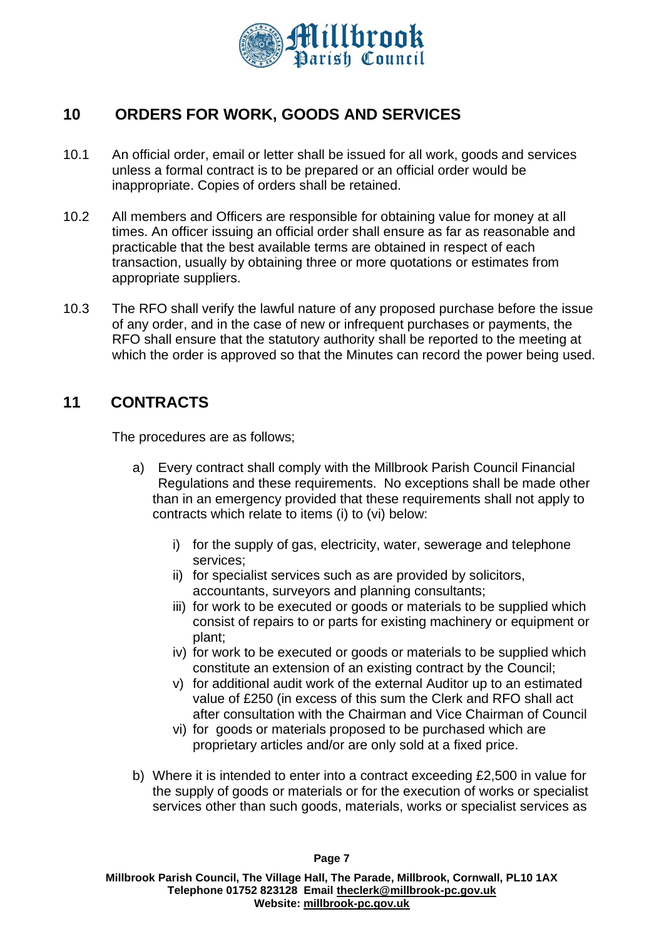

# **10 ORDERS FOR WORK, GOODS AND SERVICES**

- 10.1 An official order, email or letter shall be issued for all work, goods and services unless a formal contract is to be prepared or an official order would be inappropriate. Copies of orders shall be retained.
- 10.2 All members and Officers are responsible for obtaining value for money at all times. An officer issuing an official order shall ensure as far as reasonable and practicable that the best available terms are obtained in respect of each transaction, usually by obtaining three or more quotations or estimates from appropriate suppliers.
- 10.3 The RFO shall verify the lawful nature of any proposed purchase before the issue of any order, and in the case of new or infrequent purchases or payments, the RFO shall ensure that the statutory authority shall be reported to the meeting at which the order is approved so that the Minutes can record the power being used.

## **11 CONTRACTS**

The procedures are as follows;

- a) Every contract shall comply with the Millbrook Parish Council Financial Regulations and these requirements. No exceptions shall be made other than in an emergency provided that these requirements shall not apply to contracts which relate to items (i) to (vi) below:
	- i) for the supply of gas, electricity, water, sewerage and telephone services;
	- ii) for specialist services such as are provided by solicitors, accountants, surveyors and planning consultants;
	- iii) for work to be executed or goods or materials to be supplied which consist of repairs to or parts for existing machinery or equipment or plant;
	- iv) for work to be executed or goods or materials to be supplied which constitute an extension of an existing contract by the Council;
	- v) for additional audit work of the external Auditor up to an estimated value of £250 (in excess of this sum the Clerk and RFO shall act after consultation with the Chairman and Vice Chairman of Council
	- vi) for goods or materials proposed to be purchased which are proprietary articles and/or are only sold at a fixed price.
- b) Where it is intended to enter into a contract exceeding £2,500 in value for the supply of goods or materials or for the execution of works or specialist services other than such goods, materials, works or specialist services as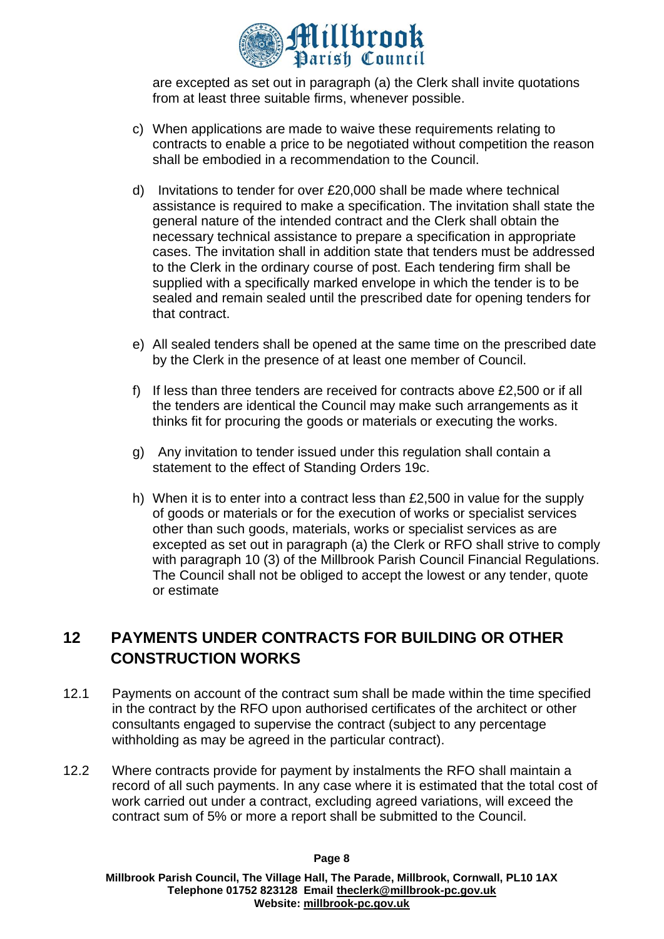

are excepted as set out in paragraph (a) the Clerk shall invite quotations from at least three suitable firms, whenever possible.

- c) When applications are made to waive these requirements relating to contracts to enable a price to be negotiated without competition the reason shall be embodied in a recommendation to the Council.
- d) Invitations to tender for over £20,000 shall be made where technical assistance is required to make a specification. The invitation shall state the general nature of the intended contract and the Clerk shall obtain the necessary technical assistance to prepare a specification in appropriate cases. The invitation shall in addition state that tenders must be addressed to the Clerk in the ordinary course of post. Each tendering firm shall be supplied with a specifically marked envelope in which the tender is to be sealed and remain sealed until the prescribed date for opening tenders for that contract.
- e) All sealed tenders shall be opened at the same time on the prescribed date by the Clerk in the presence of at least one member of Council.
- f) If less than three tenders are received for contracts above  $£2,500$  or if all the tenders are identical the Council may make such arrangements as it thinks fit for procuring the goods or materials or executing the works.
- g) Any invitation to tender issued under this regulation shall contain a statement to the effect of Standing Orders 19c.
- h) When it is to enter into a contract less than £2,500 in value for the supply of goods or materials or for the execution of works or specialist services other than such goods, materials, works or specialist services as are excepted as set out in paragraph (a) the Clerk or RFO shall strive to comply with paragraph 10 (3) of the Millbrook Parish Council Financial Regulations. The Council shall not be obliged to accept the lowest or any tender, quote or estimate

## **12 PAYMENTS UNDER CONTRACTS FOR BUILDING OR OTHER CONSTRUCTION WORKS**

- 12.1 Payments on account of the contract sum shall be made within the time specified in the contract by the RFO upon authorised certificates of the architect or other consultants engaged to supervise the contract (subject to any percentage withholding as may be agreed in the particular contract).
- 12.2 Where contracts provide for payment by instalments the RFO shall maintain a record of all such payments. In any case where it is estimated that the total cost of work carried out under a contract, excluding agreed variations, will exceed the contract sum of 5% or more a report shall be submitted to the Council.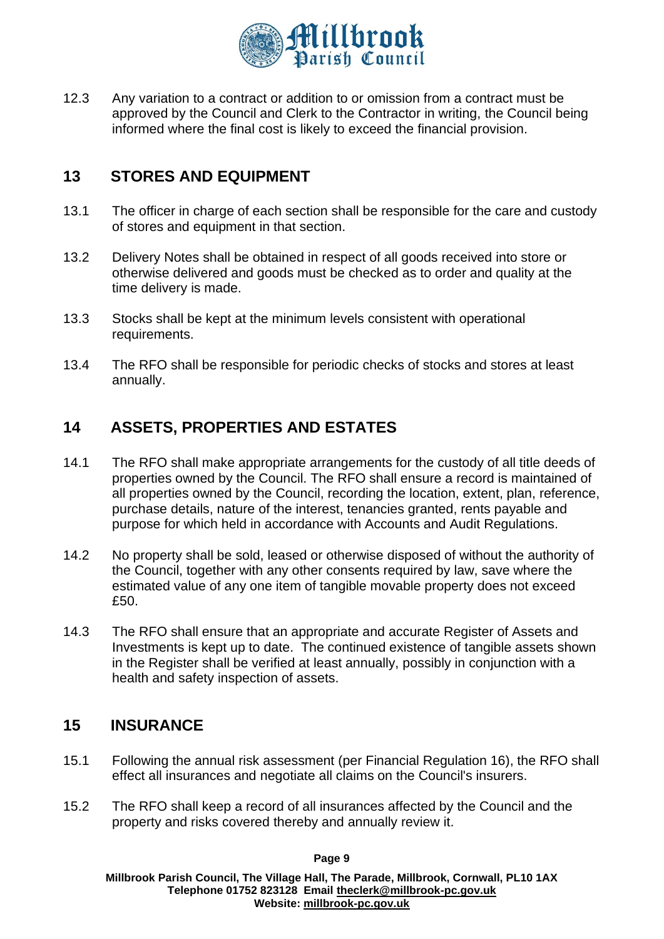

12.3 Any variation to a contract or addition to or omission from a contract must be approved by the Council and Clerk to the Contractor in writing, the Council being informed where the final cost is likely to exceed the financial provision.

## **13 STORES AND EQUIPMENT**

- 13.1 The officer in charge of each section shall be responsible for the care and custody of stores and equipment in that section.
- 13.2 Delivery Notes shall be obtained in respect of all goods received into store or otherwise delivered and goods must be checked as to order and quality at the time delivery is made.
- 13.3 Stocks shall be kept at the minimum levels consistent with operational requirements.
- 13.4 The RFO shall be responsible for periodic checks of stocks and stores at least annually.

## **14 ASSETS, PROPERTIES AND ESTATES**

- 14.1 The RFO shall make appropriate arrangements for the custody of all title deeds of properties owned by the Council. The RFO shall ensure a record is maintained of all properties owned by the Council, recording the location, extent, plan, reference, purchase details, nature of the interest, tenancies granted, rents payable and purpose for which held in accordance with Accounts and Audit Regulations.
- 14.2 No property shall be sold, leased or otherwise disposed of without the authority of the Council, together with any other consents required by law, save where the estimated value of any one item of tangible movable property does not exceed £50.
- 14.3 The RFO shall ensure that an appropriate and accurate Register of Assets and Investments is kept up to date. The continued existence of tangible assets shown in the Register shall be verified at least annually, possibly in conjunction with a health and safety inspection of assets.

## **15 INSURANCE**

- 15.1 Following the annual risk assessment (per Financial Regulation 16), the RFO shall effect all insurances and negotiate all claims on the Council's insurers.
- 15.2 The RFO shall keep a record of all insurances affected by the Council and the property and risks covered thereby and annually review it.

**Page 9**